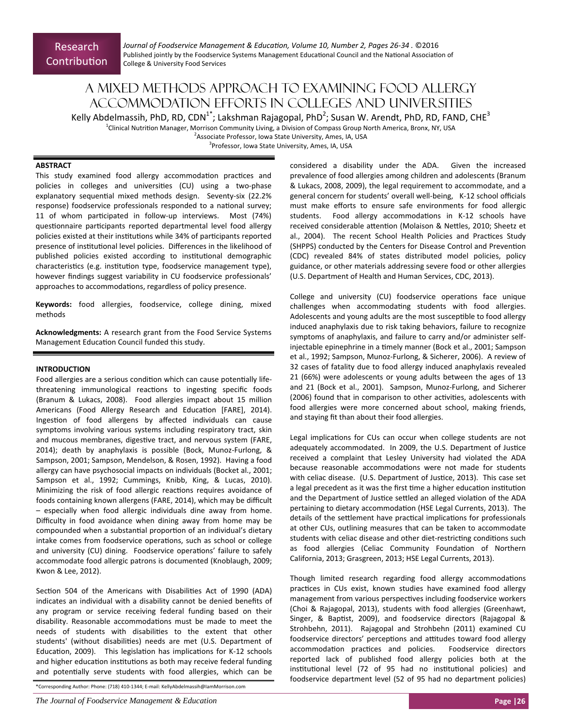*Journal of Foodservice Management & EducaƟon, Volume 10, Number 2, Pages 26‐34 .* ©2016 Published jointly by the Foodservice Systems Management Educational Council and the National Association of College & University Food Services

# A mixed methods approach to examining food allergy accommodation efforts in colleges and universities

Kelly Abdelmassih, PhD, RD, CDN<sup>1\*</sup>; Lakshman Rajagopal, PhD<sup>2</sup>; Susan W. Arendt, PhD, RD, FAND, CHE<sup>3</sup>

<sup>1</sup>Clinical Nutrition Manager, Morrison Community Living, a Division of Compass Group North America, Bronx, NY, USA <sup>2</sup> Associate Professor, Iowa State University, Ames, IA, USA

<sup>3</sup>Professor, Iowa State University, Ames, IA, USA

# **ABSTRACT**

This study examined food allergy accommodation practices and policies in colleges and universities (CU) using a two-phase explanatory sequential mixed methods design. Seventy-six (22.2% response) foodservice professionals responded to a national survey; 11 of whom participated in follow-up interviews. Most (74%) questionnaire participants reported departmental level food allergy policies existed at their institutions while 34% of participants reported presence of institutional level policies. Differences in the likelihood of published policies existed according to institutional demographic characteristics (e.g. institution type, foodservice management type), however findings suggest variability in CU foodservice professionals' approaches to accommodations, regardless of policy presence.

**Keywords:** food allergies, foodservice, college dining, mixed methods

**Acknowledgments:** A research grant from the Food Service Systems Management Education Council funded this study.

# **INTRODUCTION**

Food allergies are a serious condition which can cause potentially lifethreatening immunological reactions to ingesting specific foods (Branum & Lukacs, 2008). Food allergies impact about 15 million Americans (Food Allergy Research and Education [FARE], 2014). Ingestion of food allergens by affected individuals can cause symptoms involving various systems including respiratory tract, skin and mucous membranes, digestive tract, and nervous system (FARE, 2014); death by anaphylaxis is possible (Bock, Munoz‐Furlong, & Sampson, 2001; Sampson, Mendelson, & Rosen, 1992). Having a food allergy can have psychosocial impacts on individuals (Bocket al., 2001; Sampson et al., 1992; Cummings, Knibb, King, & Lucas, 2010). Minimizing the risk of food allergic reactions requires avoidance of foods containing known allergens (FARE, 2014), which may be difficult – especially when food allergic individuals dine away from home. Difficulty in food avoidance when dining away from home may be compounded when a substantial proportion of an individual's dietary intake comes from foodservice operations, such as school or college and university (CU) dining. Foodservice operations' failure to safely accommodate food allergic patrons is documented (Knoblaugh, 2009; Kwon & Lee, 2012).

Section 504 of the Americans with Disabilities Act of 1990 (ADA) indicates an individual with a disability cannot be denied benefits of any program or service receiving federal funding based on their disability. Reasonable accommodations must be made to meet the needs of students with disabilities to the extent that other students' (without disabilities) needs are met (U.S. Department of Education, 2009). This legislation has implications for K-12 schools and higher education institutions as both may receive federal funding and potentially serve students with food allergies, which can be

\*Corresponding Author: Phone: (718) 410‐1344; E‐mail: KellyAbdelmassih@IamMorrison.com

*The Journal of Foodservice Management & Education* **Page |26** 

considered a disability under the ADA. Given the increased prevalence of food allergies among children and adolescents (Branum & Lukacs, 2008, 2009), the legal requirement to accommodate, and a general concern for students' overall well‐being, K‐12 school officials must make efforts to ensure safe environments for food allergic students. Food allergy accommodations in K-12 schools have received considerable attention (Molaison & Nettles, 2010; Sheetz et al., 2004). The recent School Health Policies and Practices Study (SHPPS) conducted by the Centers for Disease Control and Prevention (CDC) revealed 84% of states distributed model policies, policy guidance, or other materials addressing severe food or other allergies (U.S. Department of Health and Human Services, CDC, 2013).

College and university (CU) foodservice operations face unique challenges when accommodating students with food allergies. Adolescents and young adults are the most susceptible to food allergy induced anaphylaxis due to risk taking behaviors, failure to recognize symptoms of anaphylaxis, and failure to carry and/or administer self‐ injectable epinephrine in a timely manner (Bock et al., 2001; Sampson et al., 1992; Sampson, Munoz‐Furlong, & Sicherer, 2006). A review of 32 cases of fatality due to food allergy induced anaphylaxis revealed 21 (66%) were adolescents or young adults between the ages of 13 and 21 (Bock et al., 2001). Sampson, Munoz-Furlong, and Sicherer (2006) found that in comparison to other activities, adolescents with food allergies were more concerned about school, making friends, and staying fit than about their food allergies.

Legal implications for CUs can occur when college students are not adequately accommodated. In 2009, the U.S. Department of Justice received a complaint that Lesley University had violated the ADA because reasonable accommodations were not made for students with celiac disease. (U.S. Department of Justice, 2013). This case set a legal precedent as it was the first time a higher education institution and the Department of Justice settled an alleged violation of the ADA pertaining to dietary accommodation (HSE Legal Currents, 2013). The details of the settlement have practical implications for professionals at other CUs, outlining measures that can be taken to accommodate students with celiac disease and other diet-restricting conditions such as food allergies (Celiac Community Foundation of Northern California, 2013; Grasgreen, 2013; HSE Legal Currents, 2013).

Though limited research regarding food allergy accommodations practices in CUs exist, known studies have examined food allergy management from various perspectives including foodservice workers (Choi & Rajagopal, 2013), students with food allergies (Greenhawt, Singer, & Baptist, 2009), and foodservice directors (Rajagopal & Strohbehn, 2011). Rajagopal and Strohbehn (2011) examined CU foodservice directors' perceptions and attitudes toward food allergy accommodation practices and policies. Foodservice directors reported lack of published food allergy policies both at the institutional level (72 of 95 had no institutional policies) and foodservice department level (52 of 95 had no department policies)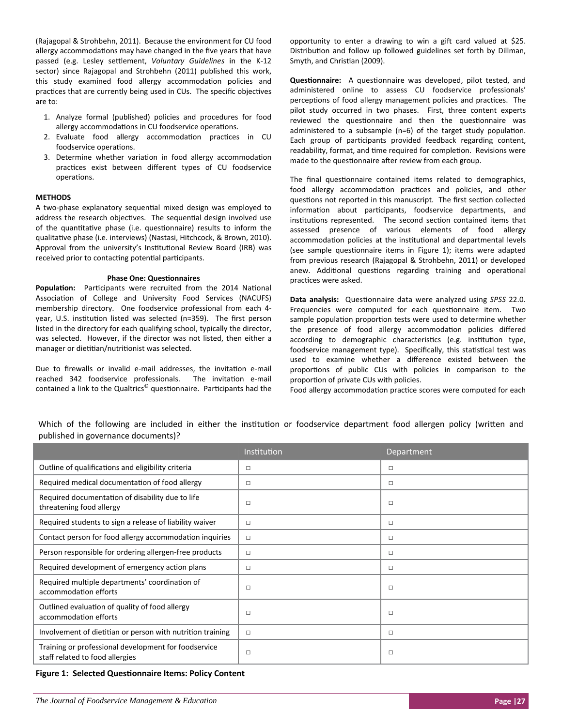(Rajagopal & Strohbehn, 2011). Because the environment for CU food allergy accommodations may have changed in the five years that have passed (e.g. Lesley seƩlement, *Voluntary Guidelines* in the K‐12 sector) since Rajagopal and Strohbehn (2011) published this work, this study examined food allergy accommodation policies and practices that are currently being used in CUs. The specific objectives are to:

- 1. Analyze formal (published) policies and procedures for food allergy accommodations in CU foodservice operations.
- 2. Evaluate food allergy accommodation practices in CU foodservice operations.
- 3. Determine whether variation in food allergy accommodation practices exist between different types of CU foodservice operaƟons.

## **METHODS**

A two-phase explanatory sequential mixed design was employed to address the research objectives. The sequential design involved use of the quantitative phase (i.e. questionnaire) results to inform the qualitative phase (i.e. interviews) (Nastasi, Hitchcock, & Brown, 2010). Approval from the university's Institutional Review Board (IRB) was received prior to contacting potential participants.

### **Phase One: Questionnaires**

Population: Participants were recruited from the 2014 National Association of College and University Food Services (NACUFS) membership directory. One foodservice professional from each 4year, U.S. institution listed was selected (n=359). The first person listed in the directory for each qualifying school, typically the director, was selected. However, if the director was not listed, then either a manager or dietitian/nutritionist was selected.

Due to firewalls or invalid e-mail addresses, the invitation e-mail reached 342 foodservice professionals. The invitation e-mail contained a link to the Qualtrics<sup>®</sup> questionnaire. Participants had the

opportunity to enter a drawing to win a gift card valued at \$25. Distribution and follow up followed guidelines set forth by Dillman, Smyth, and Christian (2009).

**Questionnaire:** A questionnaire was developed, pilot tested, and administered online to assess CU foodservice professionals' perceptions of food allergy management policies and practices. The pilot study occurred in two phases. First, three content experts reviewed the questionnaire and then the questionnaire was administered to a subsample ( $n=6$ ) of the target study population. Each group of participants provided feedback regarding content, readability, format, and time required for completion. Revisions were made to the questionnaire after review from each group.

The final questionnaire contained items related to demographics, food allergy accommodation practices and policies, and other questions not reported in this manuscript. The first section collected information about participants, foodservice departments, and institutions represented. The second section contained items that assessed presence of various elements of food allergy accommodation policies at the institutional and departmental levels (see sample questionnaire items in Figure 1); items were adapted from previous research (Rajagopal & Strohbehn, 2011) or developed anew. Additional questions regarding training and operational practices were asked.

**Data analysis:** QuesƟonnaire data were analyzed using *SPSS* 22.0. Frequencies were computed for each questionnaire item. Two sample population proportion tests were used to determine whether the presence of food allergy accommodation policies differed according to demographic characteristics (e.g. institution type, foodservice management type). Specifically, this statistical test was used to examine whether a difference existed between the proportions of public CUs with policies in comparison to the proportion of private CUs with policies.

Food allergy accommodation practice scores were computed for each

Which of the following are included in either the institution or foodservice department food allergen policy (written and published in governance documents)?

|                                                                                         | Institution | Department |
|-----------------------------------------------------------------------------------------|-------------|------------|
| Outline of qualifications and eligibility criteria                                      | $\Box$      | $\Box$     |
| Required medical documentation of food allergy                                          | $\Box$      | $\Box$     |
| Required documentation of disability due to life<br>threatening food allergy            | $\Box$      | $\Box$     |
| Required students to sign a release of liability waiver                                 | $\Box$      | □          |
| Contact person for food allergy accommodation inquiries                                 | $\Box$      | $\Box$     |
| Person responsible for ordering allergen-free products                                  | $\Box$      | $\Box$     |
| Required development of emergency action plans                                          | $\Box$      | $\Box$     |
| Required multiple departments' coordination of<br>accommodation efforts                 | $\Box$      | $\Box$     |
| Outlined evaluation of quality of food allergy<br>accommodation efforts                 | $\Box$      | $\Box$     |
| Involvement of dietitian or person with nutrition training                              | $\Box$      | $\Box$     |
| Training or professional development for foodservice<br>staff related to food allergies | $\Box$      | □          |

## **Figure 1: Selected Questionnaire Items: Policy Content**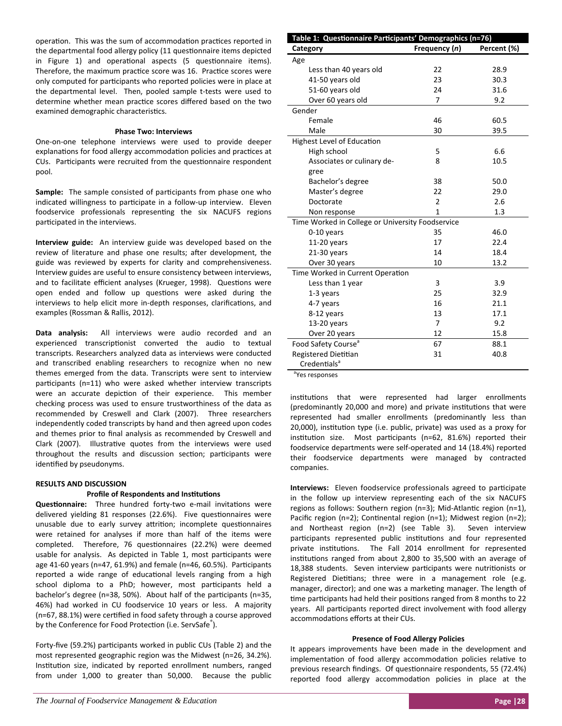operation. This was the sum of accommodation practices reported in the departmental food allergy policy (11 questionnaire items depicted in Figure 1) and operational aspects (5 questionnaire items). Therefore, the maximum practice score was 16. Practice scores were only computed for participants who reported policies were in place at the departmental level. Then, pooled sample t-tests were used to determine whether mean practice scores differed based on the two examined demographic characteristics.

## **Phase Two: Interviews**

One‐on‐one telephone interviews were used to provide deeper explanations for food allergy accommodation policies and practices at CUs. Participants were recruited from the questionnaire respondent pool.

Sample: The sample consisted of participants from phase one who indicated willingness to participate in a follow-up interview. Eleven foodservice professionals representing the six NACUFS regions participated in the interviews.

**Interview guide:** An interview guide was developed based on the review of literature and phase one results; after development, the guide was reviewed by experts for clarity and comprehensiveness. Interview guides are useful to ensure consistency between interviews, and to facilitate efficient analyses (Krueger, 1998). Questions were open ended and follow up questions were asked during the interviews to help elicit more in-depth responses, clarifications, and examples (Rossman & Rallis, 2012).

**Data analysis:** All interviews were audio recorded and an experienced transcriptionist converted the audio to textual transcripts. Researchers analyzed data as interviews were conducted and transcribed enabling researchers to recognize when no new themes emerged from the data. Transcripts were sent to interview participants (n=11) who were asked whether interview transcripts were an accurate depiction of their experience. This member checking process was used to ensure trustworthiness of the data as recommended by Creswell and Clark (2007). Three researchers independently coded transcripts by hand and then agreed upon codes and themes prior to final analysis as recommended by Creswell and Clark (2007). Illustrative quotes from the interviews were used throughout the results and discussion section; participants were identified by pseudonyms.

# **RESULTS AND DISCUSSION**

# **Profile of Respondents and Institutions**

Questionnaire: Three hundred forty-two e-mail invitations were delivered yielding 81 responses (22.6%). Five questionnaires were unusable due to early survey attrition; incomplete questionnaires were retained for analyses if more than half of the items were completed. Therefore, 76 questionnaires (22.2%) were deemed usable for analysis. As depicted in Table 1, most participants were age 41-60 years (n=47, 61.9%) and female (n=46, 60.5%). Participants reported a wide range of educational levels ranging from a high school diploma to a PhD; however, most participants held a bachelor's degree (n=38, 50%). About half of the participants (n=35, 46%) had worked in CU foodservice 10 years or less. A majority (n=67, 88.1%) were certified in food safety through a course approved by the Conference for Food Protection (i.e. ServSafe<sup>®</sup>).

Forty-five (59.2%) participants worked in public CUs (Table 2) and the most represented geographic region was the Midwest (n=26, 34.2%). Institution size, indicated by reported enrollment numbers, ranged from under 1,000 to greater than 50,000. Because the public

| Table 1: Questionnaire Participants' Demographics (n=76) |                |             |  |
|----------------------------------------------------------|----------------|-------------|--|
| Category                                                 | Frequency (n)  | Percent (%) |  |
| Age                                                      |                |             |  |
| Less than 40 years old                                   | 22             | 28.9        |  |
| 41-50 years old                                          | 23             | 30.3        |  |
| 51-60 years old                                          | 24             | 31.6        |  |
| Over 60 years old                                        | 7              | 9.2         |  |
| Gender                                                   |                |             |  |
| Female                                                   | 46             | 60.5        |  |
| Male                                                     | 30             | 39.5        |  |
| Highest Level of Education                               |                |             |  |
| High school                                              | 5              | 6.6         |  |
| Associates or culinary de-                               | 8              | 10.5        |  |
| gree                                                     |                |             |  |
| Bachelor's degree                                        | 38             | 50.0        |  |
| Master's degree                                          | 22             | 29.0        |  |
| Doctorate                                                | $\overline{2}$ | 2.6         |  |
| Non response                                             | $\mathbf{1}$   | 1.3         |  |
| Time Worked in College or University Foodservice         |                |             |  |
| 0-10 years                                               | 35             | 46.0        |  |
| 11-20 years                                              | 17             | 22.4        |  |
| $21-30$ years                                            | 14             | 18.4        |  |
| Over 30 years                                            | 10             | 13.2        |  |
| Time Worked in Current Operation                         |                |             |  |
| Less than 1 year                                         | 3              | 3.9         |  |
| 1-3 years                                                | 25             | 32.9        |  |
| 4-7 years                                                | 16             | 21.1        |  |
| 8-12 years                                               | 13             | 17.1        |  |
| $13-20$ years                                            | 7              | 9.2         |  |
| Over 20 years                                            | 12             | 15.8        |  |
| Food Safety Course <sup>a</sup>                          | 67             | 88.1        |  |
| Registered Dietitian                                     | 31             | 40.8        |  |
| Credentials <sup>a</sup>                                 |                |             |  |

<sup>a</sup>Yes responses

institutions that were represented had larger enrollments (predominantly 20,000 and more) and private institutions that were represented had smaller enrollments (predominantly less than 20,000), institution type (i.e. public, private) was used as a proxy for institution size. Most participants (n=62, 81.6%) reported their foodservice departments were self‐operated and 14 (18.4%) reported their foodservice departments were managed by contracted companies.

**Interviews:** Eleven foodservice professionals agreed to participate in the follow up interview representing each of the six NACUFS regions as follows: Southern region (n=3); Mid-Atlantic region (n=1), Pacific region (n=2); Continental region (n=1); Midwest region (n=2); and Northeast region (n=2) (see Table 3). Seven interview participants represented public institutions and four represented private institutions. The Fall 2014 enrollment for represented institutions ranged from about 2,800 to 35,500 with an average of 18,388 students. Seven interview participants were nutritionists or Registered Dietitians; three were in a management role (e.g. manager, director); and one was a marketing manager. The length of time participants had held their positions ranged from 8 months to 22 years. All participants reported direct involvement with food allergy accommodations efforts at their CUs.

#### **Presence of Food Allergy Policies**

It appears improvements have been made in the development and implementation of food allergy accommodation policies relative to previous research findings. Of questionnaire respondents, 55 (72.4%) reported food allergy accommodation policies in place at the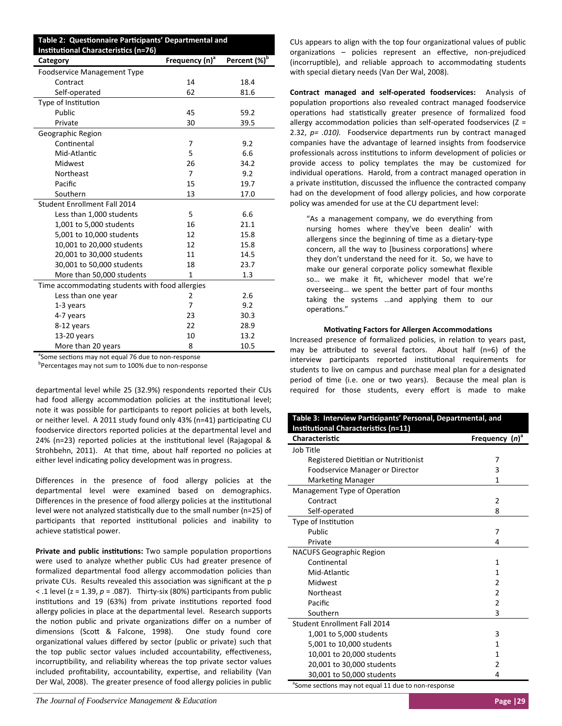| Table 2: Questionnaire Participants' Departmental and |                            |                          |
|-------------------------------------------------------|----------------------------|--------------------------|
| <b>Institutional Characteristics (n=76)</b>           |                            |                          |
| Category                                              | Frequency (n) <sup>a</sup> | Percent (%) <sup>b</sup> |
| <b>Foodservice Management Type</b>                    |                            |                          |
| Contract                                              | 14                         | 18.4                     |
| Self-operated                                         | 62                         | 81.6                     |
| Type of Institution                                   |                            |                          |
| Public                                                | 45                         | 59.2                     |
| Private                                               | 30                         | 39.5                     |
| Geographic Region                                     |                            |                          |
| Continental                                           | 7                          | 9.2                      |
| Mid-Atlantic                                          | 5                          | 6.6                      |
| Midwest                                               | 26                         | 34.2                     |
| Northeast                                             | $\overline{7}$             | 9.2                      |
| Pacific                                               | 15                         | 19.7                     |
| Southern                                              | 13                         | 17.0                     |
| <b>Student Enrollment Fall 2014</b>                   |                            |                          |
| Less than 1,000 students                              | 5                          | 6.6                      |
| 1,001 to 5,000 students                               | 16                         | 21.1                     |
| 5,001 to 10,000 students                              | 12                         | 15.8                     |
| 10,001 to 20,000 students                             | 12                         | 15.8                     |
| 20,001 to 30,000 students                             | 11                         | 14.5                     |
| 30,001 to 50,000 students                             | 18                         | 23.7                     |
| More than 50,000 students                             | 1                          | 1.3                      |
| Time accommodating students with food allergies       |                            |                          |
| Less than one year                                    | 2                          | 2.6                      |
| 1-3 years                                             | 7                          | 9.2                      |
| 4-7 years                                             | 23                         | 30.3                     |
| 8-12 years                                            | 22                         | 28.9                     |
| 13-20 years                                           | 10                         | 13.2                     |
| More than 20 years                                    | 8                          | 10.5                     |

<sup>a</sup>Some sections may not equal 76 due to non-response

b Percentages may not sum to 100% due to non‐response

departmental level while 25 (32.9%) respondents reported their CUs had food allergy accommodation policies at the institutional level; note it was possible for participants to report policies at both levels, or neither level. A 2011 study found only 43% (n=41) participating CU foodservice directors reported policies at the departmental level and 24% (n=23) reported policies at the institutional level (Rajagopal & Strohbehn, 2011). At that time, about half reported no policies at either level indicating policy development was in progress.

Differences in the presence of food allergy policies at the departmental level were examined based on demographics. Differences in the presence of food allergy policies at the institutional level were not analyzed statistically due to the small number (n=25) of participants that reported institutional policies and inability to achieve statistical power.

**Private and public institutions:** Two sample population proportions were used to analyze whether public CUs had greater presence of formalized departmental food allergy accommodation policies than private CUs. Results revealed this association was significant at the p  $\le$  .1 level ( $z = 1.39$ ,  $p = .087$ ). Thirty-six (80%) participants from public institutions and 19 (63%) from private institutions reported food allergy policies in place at the departmental level. Research supports the notion public and private organizations differ on a number of dimensions (Scott & Falcone, 1998). One study found core organizational values differed by sector (public or private) such that the top public sector values included accountability, effectiveness, incorruptibility, and reliability whereas the top private sector values included profitability, accountability, expertise, and reliability (Van Der Wal, 2008). The greater presence of food allergy policies in public

*The Journal of Foodservice Management & Education* **Page |29 <b>Page |29 Page |29 Page |29 Page |29 Page |29 Page |29 Page |29 Page |29 Page |29 Page |29 Page |29 Page |29 Page |29 Page |29 Page** 

CUs appears to align with the top four organizational values of public organizations – policies represent an effective, non-prejudiced (incorruptible), and reliable approach to accommodating students with special dietary needs (Van Der Wal, 2008).

**Contract managed and self‐operated foodservices:** Analysis of population proportions also revealed contract managed foodservice operations had statistically greater presence of formalized food allergy accommodation policies than self-operated foodservices ( $Z =$ 2.32,  $p=$  .010). Foodservice departments run by contract managed companies have the advantage of learned insights from foodservice professionals across institutions to inform development of policies or provide access to policy templates the may be customized for individual operations. Harold, from a contract managed operation in a private institution, discussed the influence the contracted company had on the development of food allergy policies, and how corporate policy was amended for use at the CU department level:

"As a management company, we do everything from nursing homes where they've been dealin' with allergens since the beginning of time as a dietary-type concern, all the way to [business corporations] where they don't understand the need for it. So, we have to make our general corporate policy somewhat flexible so… we make it fit, whichever model that we're overseeing... we spent the better part of four months taking the systems …and applying them to our operations."

## **Motivating Factors for Allergen Accommodations**

Increased presence of formalized policies, in relation to years past, may be attributed to several factors. About half (n=6) of the interview participants reported institutional requirements for students to live on campus and purchase meal plan for a designated period of time (i.e. one or two years). Because the meal plan is required for those students, every effort is made to make

| Table 3: Interview Participants' Personal, Departmental, and<br><b>Institutional Characteristics (n=11)</b> |                   |  |
|-------------------------------------------------------------------------------------------------------------|-------------------|--|
| <b>Characteristic</b>                                                                                       | Frequency $(n)^a$ |  |
| Job Title                                                                                                   |                   |  |
| Registered Dietitian or Nutritionist                                                                        | 7                 |  |
| Foodservice Manager or Director                                                                             | 3                 |  |
| <b>Marketing Manager</b>                                                                                    | 1                 |  |
| Management Type of Operation                                                                                |                   |  |
| Contract                                                                                                    | $\overline{2}$    |  |
| Self-operated                                                                                               | 8                 |  |
| Type of Institution                                                                                         |                   |  |
| Public                                                                                                      | 7                 |  |
| Private                                                                                                     | 4                 |  |
| <b>NACUFS Geographic Region</b>                                                                             |                   |  |
| Continental                                                                                                 | 1                 |  |
| Mid-Atlantic                                                                                                | 1                 |  |
| Midwest                                                                                                     | 2                 |  |
| Northeast                                                                                                   | $\overline{2}$    |  |
| Pacific                                                                                                     | 2                 |  |
| Southern                                                                                                    | 3                 |  |
| Student Enrollment Fall 2014                                                                                |                   |  |
| 1,001 to 5,000 students                                                                                     | 3                 |  |
| 5,001 to 10,000 students                                                                                    | 1                 |  |
| 10,001 to 20,000 students                                                                                   | 1                 |  |
| 20,001 to 30,000 students                                                                                   | $\overline{2}$    |  |
| 30,001 to 50,000 students                                                                                   | 4                 |  |
| <sup>a</sup> Some sections may not equal 11 due to non-response                                             |                   |  |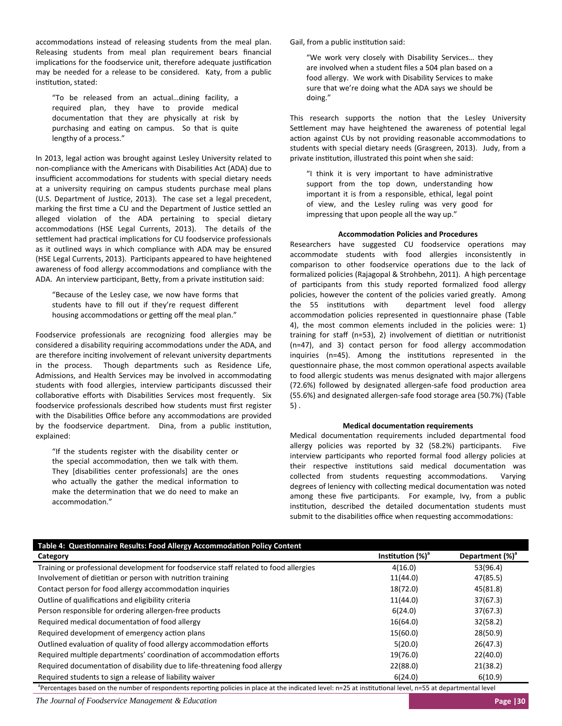accommodations instead of releasing students from the meal plan. Releasing students from meal plan requirement bears financial implications for the foodservice unit, therefore adequate justification may be needed for a release to be considered. Katy, from a public institution, stated:

"To be released from an actual…dining facility, a required plan, they have to provide medical documentation that they are physically at risk by purchasing and eating on campus. So that is quite lengthy of a process."

In 2013, legal action was brought against Lesley University related to non-compliance with the Americans with Disabilities Act (ADA) due to insufficient accommodations for students with special dietary needs at a university requiring on campus students purchase meal plans (U.S. Department of Justice, 2013). The case set a legal precedent. marking the first time a CU and the Department of Justice settled an alleged violation of the ADA pertaining to special dietary accommodations (HSE Legal Currents, 2013). The details of the settlement had practical implications for CU foodservice professionals as it outlined ways in which compliance with ADA may be ensured (HSE Legal Currents, 2013). Participants appeared to have heightened awareness of food allergy accommodations and compliance with the ADA. An interview participant, Betty, from a private institution said:

"Because of the Lesley case, we now have forms that students have to fill out if they're request different housing accommodations or getting off the meal plan."

Foodservice professionals are recognizing food allergies may be considered a disability requiring accommodations under the ADA, and are therefore inciting involvement of relevant university departments in the process. Though departments such as Residence Life, Admissions, and Health Services may be involved in accommodating students with food allergies, interview participants discussed their collaborative efforts with Disabilities Services most frequently. Six foodservice professionals described how students must first register with the Disabilities Office before any accommodations are provided by the foodservice department. Dina, from a public institution, explained:

"If the students register with the disability center or the special accommodation, then we talk with them. They [disabilities center professionals] are the ones who actually the gather the medical information to make the determination that we do need to make an accommodation."

Gail, from a public institution said:

"We work very closely with Disability Services… they are involved when a student files a 504 plan based on a food allergy. We work with Disability Services to make sure that we're doing what the ADA says we should be doing."

This research supports the notion that the Lesley University Settlement may have heightened the awareness of potential legal action against CUs by not providing reasonable accommodations to students with special dietary needs (Grasgreen, 2013). Judy, from a private institution, illustrated this point when she said:

"I think it is very important to have administrative support from the top down, understanding how important it is from a responsible, ethical, legal point of view, and the Lesley ruling was very good for impressing that upon people all the way up."

### **AccommodaƟon Policies and Procedures**

Researchers have suggested CU foodservice operations may accommodate students with food allergies inconsistently in comparison to other foodservice operations due to the lack of formalized policies (Rajagopal & Strohbehn, 2011). A high percentage of participants from this study reported formalized food allergy policies, however the content of the policies varied greatly. Among the 55 institutions with department level food allergy accommodation policies represented in questionnaire phase (Table 4), the most common elements included in the policies were: 1) training for staff  $(n=53)$ , 2) involvement of dietitian or nutritionist  $(n=47)$ , and 3) contact person for food allergy accommodation inquiries (n=45). Among the institutions represented in the questionnaire phase, the most common operational aspects available to food allergic students was menus designated with major allergens (72.6%) followed by designated allergen-safe food production area (55.6%) and designated allergen‐safe food storage area (50.7%) (Table 5) .

#### **Medical documentaƟon requirements**

Medical documentation requirements included departmental food allergy policies was reported by 32 (58.2%) participants. Five interview participants who reported formal food allergy policies at their respective institutions said medical documentation was collected from students requesting accommodations. Varying degrees of leniency with collecting medical documentation was noted among these five participants. For example, Ivy, from a public institution, described the detailed documentation students must submit to the disabilities office when requesting accommodations:

| Table 4: Questionnaire Results: Food Allergy Accommodation Policy Content            |                      |                             |
|--------------------------------------------------------------------------------------|----------------------|-----------------------------|
| Category                                                                             | Institution $(\%)^a$ | Department (%) <sup>ª</sup> |
| Training or professional development for foodservice staff related to food allergies | 4(16.0)              | 53(96.4)                    |
| Involvement of dietitian or person with nutrition training                           | 11(44.0)             | 47(85.5)                    |
| Contact person for food allergy accommodation inquiries                              | 18(72.0)             | 45(81.8)                    |
| Outline of qualifications and eligibility criteria                                   | 11(44.0)             | 37(67.3)                    |
| Person responsible for ordering allergen-free products                               | 6(24.0)              | 37(67.3)                    |
| Required medical documentation of food allergy                                       | 16(64.0)             | 32(58.2)                    |
| Required development of emergency action plans                                       | 15(60.0)             | 28(50.9)                    |
| Outlined evaluation of quality of food allergy accommodation efforts                 | 5(20.0)              | 26(47.3)                    |
| Required multiple departments' coordination of accommodation efforts                 | 19(76.0)             | 22(40.0)                    |
| Required documentation of disability due to life-threatening food allergy            | 22(88.0)             | 21(38.2)                    |
| Required students to sign a release of liability waiver                              | 6(24.0)              | 6(10.9)                     |
|                                                                                      |                      |                             |

<sup>a</sup>Percentages based on the number of respondents reporting policies in place at the indicated level: n=25 at institutional level, n=55 at departmental level

*The Journal of Foodservice Management & Education* **Page |30**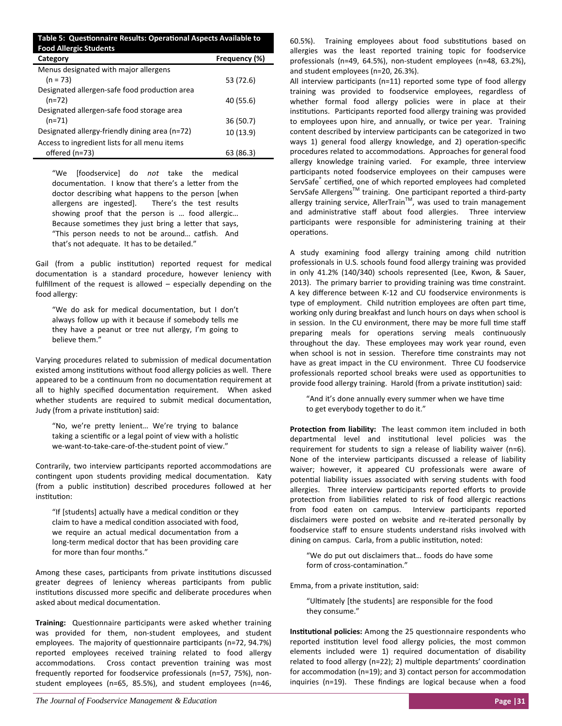| Table 5: Questionnaire Results: Operational Aspects Available to<br><b>Food Allergic Students</b> |               |  |
|---------------------------------------------------------------------------------------------------|---------------|--|
| Category                                                                                          | Frequency (%) |  |
| Menus designated with major allergens                                                             |               |  |
| $(n = 73)$                                                                                        | 53 (72.6)     |  |
| Designated allergen-safe food production area                                                     |               |  |
| $(n=72)$                                                                                          | 40 (55.6)     |  |
| Designated allergen-safe food storage area                                                        |               |  |
| $(n=71)$                                                                                          | 36(50.7)      |  |
| Designated allergy-friendly dining area (n=72)                                                    | 10(13.9)      |  |
| Access to ingredient lists for all menu items                                                     |               |  |
| offered (n=73)                                                                                    | 63 (86.3)     |  |

"We [foodservice] do *not* take the medical documentation. I know that there's a letter from the doctor describing what happens to the person [when allergens are ingested]. There's the test results showing proof that the person is … food allergic… Because sometimes they just bring a letter that says, "This person needs to not be around... catfish. And that's not adequate. It has to be detailed."

Gail (from a public institution) reported request for medical documentation is a standard procedure, however leniency with fulfillment of the request is allowed – especially depending on the food allergy:

"We do ask for medical documentation, but I don't always follow up with it because if somebody tells me they have a peanut or tree nut allergy, I'm going to believe them."

Varying procedures related to submission of medical documentation existed among institutions without food allergy policies as well. There appeared to be a continuum from no documentation requirement at all to highly specified documentation requirement. When asked whether students are required to submit medical documentation, Judy (from a private institution) said:

"No, we're preƩy lenient… We're trying to balance taking a scientific or a legal point of view with a holistic we-want-to-take-care-of-the-student point of view."

Contrarily, two interview participants reported accommodations are contingent upon students providing medical documentation. Katy (from a public institution) described procedures followed at her institution:

"If [students] actually have a medical condition or they claim to have a medical condition associated with food, we require an actual medical documentation from a long‐term medical doctor that has been providing care for more than four months."

Among these cases, participants from private institutions discussed greater degrees of leniency whereas participants from public institutions discussed more specific and deliberate procedures when asked about medical documentation.

Training: Questionnaire participants were asked whether training was provided for them, non-student employees, and student employees. The majority of questionnaire participants (n=72, 94.7%) reported employees received training related to food allergy accommodations. Cross contact prevention training was most frequently reported for foodservice professionals (n=57, 75%), non‐ student employees (n=65, 85.5%), and student employees (n=46, 60.5%). Training employees about food substitutions based on allergies was the least reported training topic for foodservice professionals (n=49, 64.5%), non‐student employees (n=48, 63.2%), and student employees (n=20, 26.3%).

All interview participants ( $n=11$ ) reported some type of food allergy training was provided to foodservice employees, regardless of whether formal food allergy policies were in place at their institutions. Participants reported food allergy training was provided to employees upon hire, and annually, or twice per year. Training content described by interview participants can be categorized in two ways 1) general food allergy knowledge, and 2) operation-specific procedures related to accommodations. Approaches for general food allergy knowledge training varied. For example, three interview participants noted foodservice employees on their campuses were ServSafe<sup>®</sup> certified, one of which reported employees had completed ServSafe Allergens<sup>™</sup> training. One participant reported a third-party allergy training service, AllerTrain<sup>TM</sup>, was used to train management and administrative staff about food allergies. Three interview participants were responsible for administering training at their operations.

A study examining food allergy training among child nutrition professionals in U.S. schools found food allergy training was provided in only 41.2% (140/340) schools represented (Lee, Kwon, & Sauer, 2013). The primary barrier to providing training was time constraint. A key difference between K‐12 and CU foodservice environments is type of employment. Child nutrition employees are often part time, working only during breakfast and lunch hours on days when school is in session. In the CU environment, there may be more full time staff preparing meals for operations serving meals continuously throughout the day. These employees may work year round, even when school is not in session. Therefore time constraints may not have as great impact in the CU environment. Three CU foodservice professionals reported school breaks were used as opportunities to provide food allergy training. Harold (from a private institution) said:

"And it's done annually every summer when we have time to get everybody together to do it."

Protection from liability: The least common item included in both departmental level and institutional level policies was the requirement for students to sign a release of liability waiver (n=6). None of the interview participants discussed a release of liability waiver; however, it appeared CU professionals were aware of potential liability issues associated with serving students with food allergies. Three interview participants reported efforts to provide protection from liabilities related to risk of food allergic reactions from food eaten on campus. Interview participants reported disclaimers were posted on website and re‐iterated personally by foodservice staff to ensure students understand risks involved with dining on campus. Carla, from a public institution, noted:

"We do put out disclaimers that… foods do have some form of cross-contamination."

Emma, from a private institution, said:

"Ultimately [the students] are responsible for the food they consume."

**Institutional policies:** Among the 25 questionnaire respondents who reported institution level food allergy policies, the most common elements included were 1) required documentation of disability related to food allergy (n=22); 2) multiple departments' coordination for accommodation ( $n=19$ ); and 3) contact person for accommodation inquiries (n=19). These findings are logical because when a food

*The Journal of Foodservice Management & Education* **Page | 31 <b>Page | 31 Page | 31 Page | 31**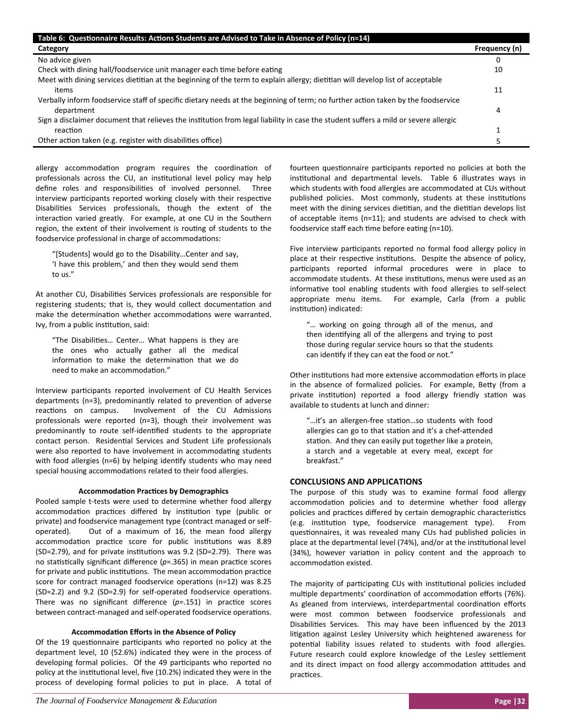| Table 6: Questionnaire Results: Actions Students are Advised to Take in Absence of Policy (n=14)                                    |               |
|-------------------------------------------------------------------------------------------------------------------------------------|---------------|
| Category                                                                                                                            | Frequency (n) |
| No advice given                                                                                                                     |               |
| Check with dining hall/foodservice unit manager each time before eating                                                             | 10            |
| Meet with dining services dietitian at the beginning of the term to explain allergy; dietitian will develop list of acceptable      |               |
| items                                                                                                                               | 11            |
| Verbally inform foodservice staff of specific dietary needs at the beginning of term; no further action taken by the foodservice    |               |
| department                                                                                                                          | 4             |
| Sign a disclaimer document that relieves the institution from legal liability in case the student suffers a mild or severe allergic |               |
| reaction                                                                                                                            |               |
| Other action taken (e.g. register with disabilities office)                                                                         |               |

allergy accommodation program requires the coordination of professionals across the CU, an institutional level policy may help define roles and responsibilities of involved personnel. Three interview participants reported working closely with their respective Disabilities Services professionals, though the extent of the interaction varied greatly. For example, at one CU in the Southern region, the extent of their involvement is routing of students to the foodservice professional in charge of accommodations:

"[Students] would go to the Disability…Center and say, 'I have this problem,' and then they would send them to us."

At another CU, Disabilities Services professionals are responsible for registering students; that is, they would collect documentation and make the determination whether accommodations were warranted. Ivy, from a public institution, said:

"The Disabilities... Center... What happens is they are the ones who actually gather all the medical information to make the determination that we do need to make an accommodation."

Interview participants reported involvement of CU Health Services departments (n=3), predominantly related to prevention of adverse reactions on campus. Involvement of the CU Admissions professionals were reported (n=3), though their involvement was predominantly to route self-identified students to the appropriate contact person. Residential Services and Student Life professionals were also reported to have involvement in accommodating students with food allergies (n=6) by helping identify students who may need special housing accommodations related to their food allergies.

## **AccommodaƟon PracƟces by Demographics**

Pooled sample t‐tests were used to determine whether food allergy accommodation practices differed by institution type (public or private) and foodservice management type (contract managed or self‐ operated). Out of a maximum of 16, the mean food allergy accommodation practice score for public institutions was 8.89 (SD=2.79), and for private institutions was 9.2 (SD=2.79). There was no statistically significant difference ( $p = 0.365$ ) in mean practice scores for private and public institutions. The mean accommodation practice score for contract managed foodservice operations (n=12) was 8.25  $(SD=2.2)$  and 9.2  $(SD=2.9)$  for self-operated foodservice operations. There was no significant difference  $(p=0.151)$  in practice scores between contract-managed and self-operated foodservice operations.

# **AccommodaƟon Efforts in the Absence of Policy**

Of the 19 questionnaire participants who reported no policy at the department level, 10 (52.6%) indicated they were in the process of developing formal policies. Of the 49 participants who reported no policy at the institutional level, five (10.2%) indicated they were in the process of developing formal policies to put in place. A total of fourteen questionnaire participants reported no policies at both the institutional and departmental levels. Table 6 illustrates ways in which students with food allergies are accommodated at CUs without published policies. Most commonly, students at these institutions meet with the dining services dietitian, and the dietitian develops list of acceptable items (n=11); and students are advised to check with foodservice staff each time before eating (n=10).

Five interview participants reported no formal food allergy policy in place at their respective institutions. Despite the absence of policy, participants reported informal procedures were in place to accommodate students. At these institutions, menus were used as an informative tool enabling students with food allergies to self-select appropriate menu items. For example, Carla (from a public institution) indicated:

"… working on going through all of the menus, and then identifying all of the allergens and trying to post those during regular service hours so that the students can identify if they can eat the food or not."

Other institutions had more extensive accommodation efforts in place in the absence of formalized policies. For example, Betty (from a private institution) reported a food allergy friendly station was available to students at lunch and dinner:

"...it's an allergen-free station...so students with food allergies can go to that station and it's a chef-attended station. And they can easily put together like a protein, a starch and a vegetable at every meal, except for breakfast."

# **CONCLUSIONS AND APPLICATIONS**

The purpose of this study was to examine formal food allergy accommodation policies and to determine whether food allergy policies and practices differed by certain demographic characteristics (e.g. institution type, foodservice management type). From questionnaires, it was revealed many CUs had published policies in place at the departmental level (74%), and/or at the institutional level (34%), however variation in policy content and the approach to accommodation existed.

The majority of participating CUs with institutional policies included multiple departments' coordination of accommodation efforts (76%). As gleaned from interviews, interdepartmental coordination efforts were most common between foodservice professionals and Disabilities Services. This may have been influenced by the 2013 litigation against Lesley University which heightened awareness for potential liability issues related to students with food allergies. Future research could explore knowledge of the Lesley settlement and its direct impact on food allergy accommodation attitudes and practices.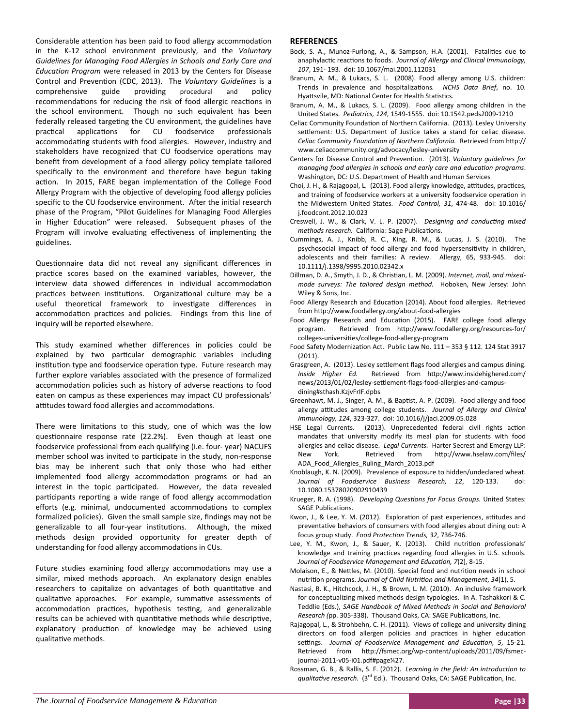Considerable attention has been paid to food allergy accommodation in the K‐12 school environment previously, and the *Voluntary Guidelines for Managing Food Allergies in Schools and Early Care and EducaƟon Program* were released in 2013 by the Centers for Disease Control and Prevention (CDC, 2013). The *Voluntary Guidelines* is a comprehensive guide providing procedural and policy recommendations for reducing the risk of food allergic reactions in the school environment. Though no such equivalent has been federally released targeting the CU environment, the guidelines have practical applications for CU foodservice professionals accommodating students with food allergies. However, industry and stakeholders have recognized that CU foodservice operations may benefit from development of a food allergy policy template tailored specifically to the environment and therefore have begun taking action. In 2015, FARE began implementation of the College Food Allergy Program with the objective of developing food allergy policies specific to the CU foodservice environment. After the initial research phase of the Program, "Pilot Guidelines for Managing Food Allergies in Higher Education" were released. Subsequent phases of the Program will involve evaluating effectiveness of implementing the guidelines.

Questionnaire data did not reveal any significant differences in practice scores based on the examined variables, however, the interview data showed differences in individual accommodation practices between institutions. Organizational culture may be a useful theoretical framework to investigate differences in accommodation practices and policies. Findings from this line of inquiry will be reported elsewhere.

This study examined whether differences in policies could be explained by two particular demographic variables including institution type and foodservice operation type. Future research may further explore variables associated with the presence of formalized accommodation policies such as history of adverse reactions to food eaten on campus as these experiences may impact CU professionals' attitudes toward food allergies and accommodations.

There were limitations to this study, one of which was the low questionnaire response rate (22.2%). Even though at least one foodservice professional from each qualifying (i.e. four‐ year) NACUFS member school was invited to participate in the study, non-response bias may be inherent such that only those who had either implemented food allergy accommodation programs or had an interest in the topic participated. However, the data revealed participants reporting a wide range of food allergy accommodation efforts (e.g. minimal, undocumented accommodations to complex formalized policies). Given the small sample size, findings may not be generalizable to all four-year institutions. Although, the mixed methods design provided opportunity for greater depth of understanding for food allergy accommodations in CUs.

Future studies examining food allergy accommodations may use a similar, mixed methods approach. An explanatory design enables researchers to capitalize on advantages of both quantitative and qualitative approaches. For example, summative assessments of accommodation practices, hypothesis testing, and generalizable results can be achieved with quantitative methods while descriptive, explanatory production of knowledge may be achieved using qualitative methods.

# **REFERENCES**

- Bock, S. A., Munoz-Furlong, A., & Sampson, H.A. (2001). Fatalities due to anaphylacƟc reacƟons to foods. *Journal of Allergy and Clinical Immunology, 107*, 191‐ 193. doi: 10.1067/mai.2001.112031
- Branum, A. M., & Lukacs, S. L. (2008). Food allergy among U.S. children: Trends in prevalence and hospitalizaƟons*. NCHS Data Brief*, no. 10. Hyattsvile, MD: National Center for Health Statistics.
- Branum, A. M., & Lukacs, S. L. (2009). Food allergy among children in the United States. *Pediatrics, 124*, 1549‐1555. doi: 10.1542.peds2009‐1210
- Celiac Community Foundation of Northern California. (2013). Lesley University settlement: U.S. Department of Justice takes a stand for celiac disease. *Celiac Community FoundaƟon of Northern California.* Retrieved from hƩp:// www.celiaccommunity.org/advocacy/lesley‐university
- Centers for Disease Control and PrevenƟon. (2013). *Voluntary guidelines for managing food allergies in schools and early care and educaƟon programs*. Washington, DC: U.S. Department of Health and Human Services
- Choi, J. H., & Rajagopal, L. (2013). Food allergy knowledge, attitudes, practices, and training of foodservice workers at a university foodservice operation in the Midwestern United States. *Food Control, 31*, 474‐48. doi: 10.1016/ j.foodcont.2012.10.023
- Creswell, J. W., & Clark, V. L. P. (2007). Designing and conducting mixed *methods research.* California: Sage Publications.
- Cummings, A. J., Knibb, R. C., King, R. M., & Lucas, J. S. (2010). The psychosocial impact of food allergy and food hypersensitivity in children, adolescents and their families: A review. Allergy, 65, 933-945. doi: 10.1111/j.1398/9995.2010.02342.x
- Dillman, D. A., Smyth, J. D., & Christian, L. M. (2009). Internet, mail, and mixed*mode surveys: The tailored design method.*  Hoboken, New Jersey: John Wiley & Sons, Inc.
- Food Allergy Research and Education (2014). About food allergies. Retrieved from http://www.foodallergy.org/about-food-allergies
- Food Allergy Research and Education (2015). FARE college food allergy program. Retrieved from http://www.foodallergy.org/resources-for/ colleges‐universiƟes/college‐food‐allergy‐program
- Food Safety Modernization Act. Public Law No. 111 353 § 112. 124 Stat 3917 (2011).
- Grasgreen, A. (2013). Lesley settlement flags food allergies and campus dining. *Inside Higher Ed.*  Retrieved from hƩp://www.insidehighered.com/ news/2013/01/02/lesley-settlement-flags-food-allergies-and-campusdining#sthash.KzjvFrIF.dpbs
- Greenhawt, M. J., Singer, A. M., & Baptist, A. P. (2009). Food allergy and food allergy attitudes among college students. Journal of Allergy and Clinical *Immunology, 124*, 323‐327. doi: 10.1016/j/jaci.2009.05.028
- HSE Legal Currents. (2013). Unprecedented federal civil rights action mandates that university modify its meal plan for students with food allergies and celiac disease. *Legal Currents.* Harter Secrest and Emergy LLP: New York. Retrieved from http://www.hselaw.com/files/ ADA\_Food\_Allergies\_Ruling\_March\_2013.pdf
- Knoblaugh, K. N. (2009). Prevalence of exposure to hidden/undeclared wheat. *Journal of Foodservice Business Research, 12*, 120‐133. doi: 10.1080.15378020902910439
- Krueger, R. A. (1998). *Developing QuesƟons for Focus Groups.* United States: SAGE Publications.
- Kwon, J., & Lee, Y. M. (2012). Exploration of past experiences, attitudes and preventaƟve behaviors of consumers with food allergies about dining out: A focus group study. *Food ProtecƟon Trends, 32*, 736‐746.
- Lee, Y. M., Kwon, J., & Sauer, K. (2013). Child nutrition professionals' knowledge and training practices regarding food allergies in U.S. schools. *Journal of Foodservice Management and EducaƟon, 7*(2), 8‐15.
- Molaison, E., & Nettles, M. (2010). Special food and nutrition needs in school nutriƟon programs. *Journal of Child NutriƟon and Management*, *34*(1), 5.
- Nastasi, B. K., Hitchcock, J. H., & Brown, L. M. (2010). An inclusive framework for conceptualizing mixed methods design typologies. In A. Tashakkori & C. Teddlie (Eds.), *SAGE Handbook of Mixed Methods in Social and Behavioral Research (pp. 305-338). Thousand Oaks, CA: SAGE Publications, Inc.*
- Rajagopal, L., & Strohbehn, C. H. (2011). Views of college and university dining directors on food allergen policies and practices in higher education settings. Journal of Foodservice Management and Education, 5, 15-21. Retrieved from http://fsmec.org/wp-content/uploads/2011/09/fsmecjournal‐2011‐v05‐i01.pdf#page¼27.
- Rossman, G. B., & Rallis, S. F. (2012). Learning in the field: An introduction to *qualitative research.* (3<sup>rd</sup> Ed.). Thousand Oaks, CA: SAGE Publication, Inc.